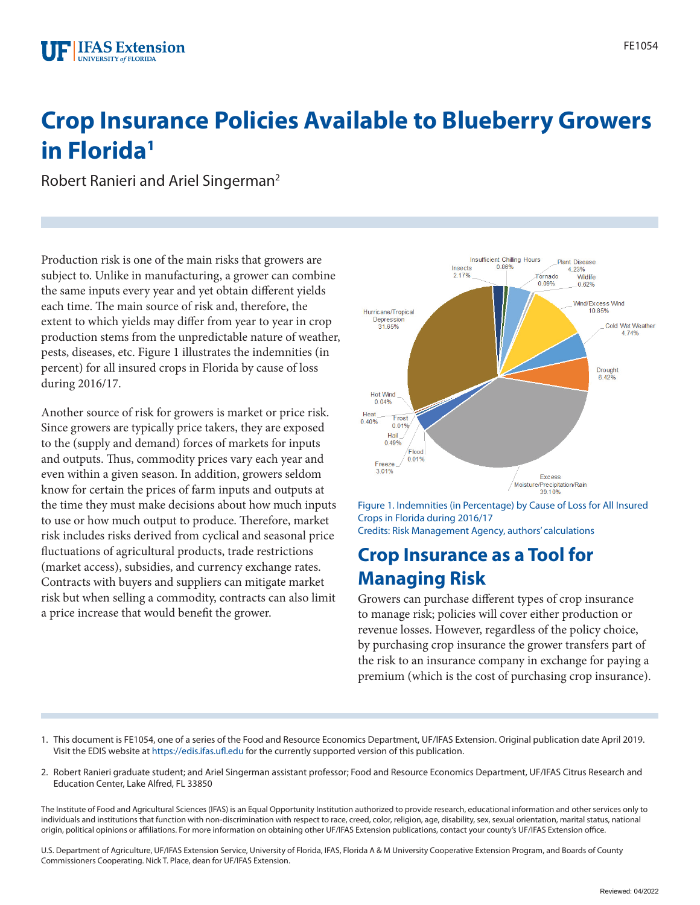# **Crop Insurance Policies Available to Blueberry Growers in Florida1**

Robert Ranieri and Ariel Singerman2

Production risk is one of the main risks that growers are subject to. Unlike in manufacturing, a grower can combine the same inputs every year and yet obtain different yields each time. The main source of risk and, therefore, the extent to which yields may differ from year to year in crop production stems from the unpredictable nature of weather, pests, diseases, etc. Figure 1 illustrates the indemnities (in percent) for all insured crops in Florida by cause of loss during 2016/17.

Another source of risk for growers is market or price risk. Since growers are typically price takers, they are exposed to the (supply and demand) forces of markets for inputs and outputs. Thus, commodity prices vary each year and even within a given season. In addition, growers seldom know for certain the prices of farm inputs and outputs at the time they must make decisions about how much inputs to use or how much output to produce. Therefore, market risk includes risks derived from cyclical and seasonal price fluctuations of agricultural products, trade restrictions (market access), subsidies, and currency exchange rates. Contracts with buyers and suppliers can mitigate market risk but when selling a commodity, contracts can also limit a price increase that would benefit the grower.



Figure 1. Indemnities (in Percentage) by Cause of Loss for All Insured Crops in Florida during 2016/17 Credits: Risk Management Agency, authors' calculations

### **Crop Insurance as a Tool for Managing Risk**

Growers can purchase different types of crop insurance to manage risk; policies will cover either production or revenue losses. However, regardless of the policy choice, by purchasing crop insurance the grower transfers part of the risk to an insurance company in exchange for paying a premium (which is the cost of purchasing crop insurance).

- 1. This document is FE1054, one of a series of the Food and Resource Economics Department, UF/IFAS Extension. Original publication date April 2019. Visit the EDIS website at <https://edis.ifas.ufl.edu> for the currently supported version of this publication.
- 2. Robert Ranieri graduate student; and Ariel Singerman assistant professor; Food and Resource Economics Department, UF/IFAS Citrus Research and Education Center, Lake Alfred, FL 33850

The Institute of Food and Agricultural Sciences (IFAS) is an Equal Opportunity Institution authorized to provide research, educational information and other services only to individuals and institutions that function with non-discrimination with respect to race, creed, color, religion, age, disability, sex, sexual orientation, marital status, national origin, political opinions or affiliations. For more information on obtaining other UF/IFAS Extension publications, contact your county's UF/IFAS Extension office.

U.S. Department of Agriculture, UF/IFAS Extension Service, University of Florida, IFAS, Florida A & M University Cooperative Extension Program, and Boards of County Commissioners Cooperating. Nick T. Place, dean for UF/IFAS Extension.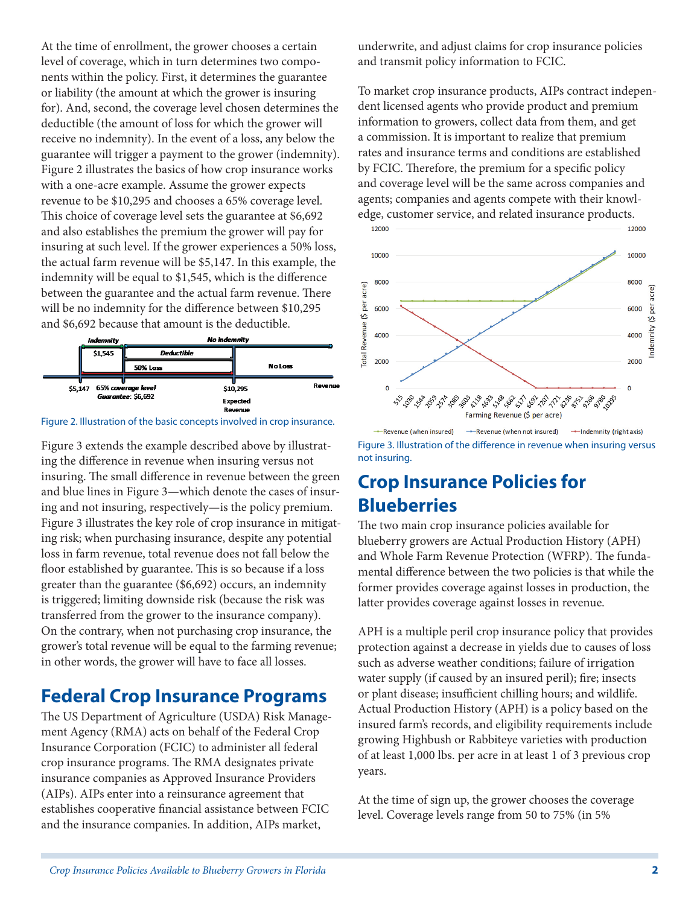At the time of enrollment, the grower chooses a certain level of coverage, which in turn determines two components within the policy. First, it determines the guarantee or liability (the amount at which the grower is insuring for). And, second, the coverage level chosen determines the deductible (the amount of loss for which the grower will receive no indemnity). In the event of a loss, any below the guarantee will trigger a payment to the grower (indemnity). Figure 2 illustrates the basics of how crop insurance works with a one-acre example. Assume the grower expects revenue to be \$10,295 and chooses a 65% coverage level. This choice of coverage level sets the guarantee at \$6,692 and also establishes the premium the grower will pay for insuring at such level. If the grower experiences a 50% loss, the actual farm revenue will be \$5,147. In this example, the indemnity will be equal to \$1,545, which is the difference between the guarantee and the actual farm revenue. There will be no indemnity for the difference between \$10,295 and \$6,692 because that amount is the deductible.



Figure 2. Illustration of the basic concepts involved in crop insurance.

Figure 3 extends the example described above by illustrating the difference in revenue when insuring versus not insuring. The small difference in revenue between the green and blue lines in Figure 3—which denote the cases of insuring and not insuring, respectively—is the policy premium. Figure 3 illustrates the key role of crop insurance in mitigating risk; when purchasing insurance, despite any potential loss in farm revenue, total revenue does not fall below the floor established by guarantee. This is so because if a loss greater than the guarantee (\$6,692) occurs, an indemnity is triggered; limiting downside risk (because the risk was transferred from the grower to the insurance company). On the contrary, when not purchasing crop insurance, the grower's total revenue will be equal to the farming revenue; in other words, the grower will have to face all losses.

### **Federal Crop Insurance Programs**

The US Department of Agriculture (USDA) Risk Management Agency (RMA) acts on behalf of the Federal Crop Insurance Corporation (FCIC) to administer all federal crop insurance programs. The RMA designates private insurance companies as Approved Insurance Providers (AIPs). AIPs enter into a reinsurance agreement that establishes cooperative financial assistance between FCIC and the insurance companies. In addition, AIPs market,

underwrite, and adjust claims for crop insurance policies and transmit policy information to FCIC.

To market crop insurance products, AIPs contract independent licensed agents who provide product and premium information to growers, collect data from them, and get a commission. It is important to realize that premium rates and insurance terms and conditions are established by FCIC. Therefore, the premium for a specific policy and coverage level will be the same across companies and agents; companies and agents compete with their knowledge, customer service, and related insurance products.



Figure 3. Illustration of the difference in revenue when insuring versus not insuring.

# **Crop Insurance Policies for Blueberries**

The two main crop insurance policies available for blueberry growers are Actual Production History (APH) and Whole Farm Revenue Protection (WFRP). The fundamental difference between the two policies is that while the former provides coverage against losses in production, the latter provides coverage against losses in revenue.

APH is a multiple peril crop insurance policy that provides protection against a decrease in yields due to causes of loss such as adverse weather conditions; failure of irrigation water supply (if caused by an insured peril); fire; insects or plant disease; insufficient chilling hours; and wildlife. Actual Production History (APH) is a policy based on the insured farm's records, and eligibility requirements include growing Highbush or Rabbiteye varieties with production of at least 1,000 lbs. per acre in at least 1 of 3 previous crop years.

At the time of sign up, the grower chooses the coverage level. Coverage levels range from 50 to 75% (in 5%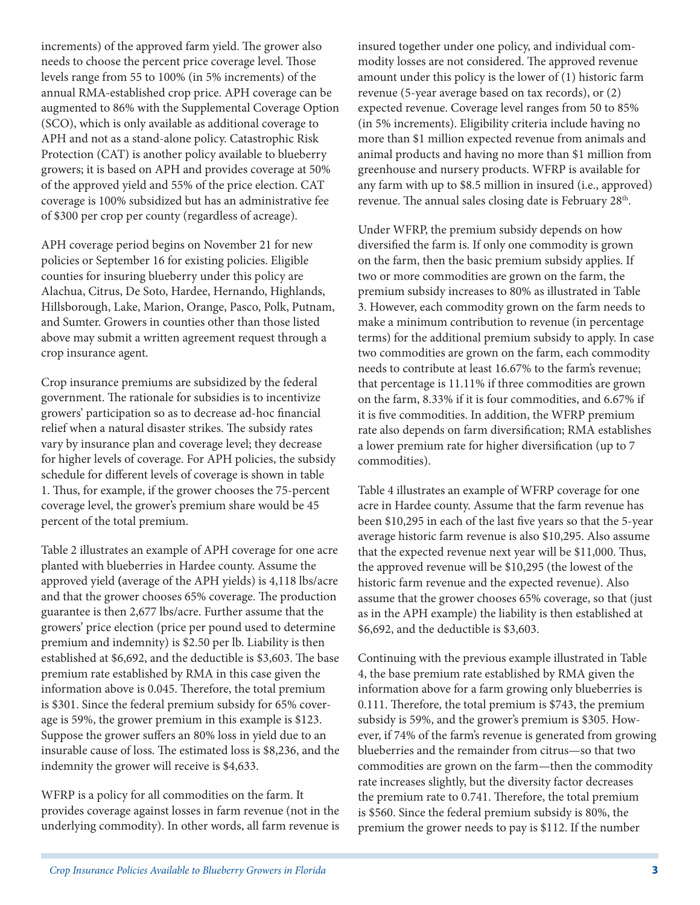increments) of the approved farm yield. The grower also needs to choose the percent price coverage level. Those levels range from 55 to 100% (in 5% increments) of the annual RMA-established crop price. APH coverage can be augmented to 86% with the Supplemental Coverage Option (SCO), which is only available as additional coverage to APH and not as a stand-alone policy. Catastrophic Risk Protection (CAT) is another policy available to blueberry growers; it is based on APH and provides coverage at 50% of the approved yield and 55% of the price election. CAT coverage is 100% subsidized but has an administrative fee of \$300 per crop per county (regardless of acreage).

APH coverage period begins on November 21 for new policies or September 16 for existing policies. Eligible counties for insuring blueberry under this policy are Alachua, Citrus, De Soto, Hardee, Hernando, Highlands, Hillsborough, Lake, Marion, Orange, Pasco, Polk, Putnam, and Sumter. Growers in counties other than those listed above may submit a written agreement request through a crop insurance agent.

Crop insurance premiums are subsidized by the federal government. The rationale for subsidies is to incentivize growers' participation so as to decrease ad-hoc financial relief when a natural disaster strikes. The subsidy rates vary by insurance plan and coverage level; they decrease for higher levels of coverage. For APH policies, the subsidy schedule for different levels of coverage is shown in table 1. Thus, for example, if the grower chooses the 75-percent coverage level, the grower's premium share would be 45 percent of the total premium.

Table 2 illustrates an example of APH coverage for one acre planted with blueberries in Hardee county. Assume the approved yield **(**average of the APH yields) is 4,118 lbs/acre and that the grower chooses 65% coverage. The production guarantee is then 2,677 lbs/acre. Further assume that the growers' price election (price per pound used to determine premium and indemnity) is \$2.50 per lb. Liability is then established at \$6,692, and the deductible is \$3,603. The base premium rate established by RMA in this case given the information above is 0.045. Therefore, the total premium is \$301. Since the federal premium subsidy for 65% coverage is 59%, the grower premium in this example is \$123. Suppose the grower suffers an 80% loss in yield due to an insurable cause of loss. The estimated loss is \$8,236, and the indemnity the grower will receive is \$4,633.

WFRP is a policy for all commodities on the farm. It provides coverage against losses in farm revenue (not in the underlying commodity). In other words, all farm revenue is insured together under one policy, and individual commodity losses are not considered. The approved revenue amount under this policy is the lower of (1) historic farm revenue (5-year average based on tax records), or (2) expected revenue. Coverage level ranges from 50 to 85% (in 5% increments). Eligibility criteria include having no more than \$1 million expected revenue from animals and animal products and having no more than \$1 million from greenhouse and nursery products. WFRP is available for any farm with up to \$8.5 million in insured (i.e., approved) revenue. The annual sales closing date is February 28<sup>th</sup>.

Under WFRP, the premium subsidy depends on how diversified the farm is. If only one commodity is grown on the farm, then the basic premium subsidy applies. If two or more commodities are grown on the farm, the premium subsidy increases to 80% as illustrated in Table 3. However, each commodity grown on the farm needs to make a minimum contribution to revenue (in percentage terms) for the additional premium subsidy to apply. In case two commodities are grown on the farm, each commodity needs to contribute at least 16.67% to the farm's revenue; that percentage is 11.11% if three commodities are grown on the farm, 8.33% if it is four commodities, and 6.67% if it is five commodities. In addition, the WFRP premium rate also depends on farm diversification; RMA establishes a lower premium rate for higher diversification (up to 7 commodities).

Table 4 illustrates an example of WFRP coverage for one acre in Hardee county. Assume that the farm revenue has been \$10,295 in each of the last five years so that the 5-year average historic farm revenue is also \$10,295. Also assume that the expected revenue next year will be \$11,000. Thus, the approved revenue will be \$10,295 (the lowest of the historic farm revenue and the expected revenue). Also assume that the grower chooses 65% coverage, so that (just as in the APH example) the liability is then established at \$6,692, and the deductible is \$3,603.

Continuing with the previous example illustrated in Table 4, the base premium rate established by RMA given the information above for a farm growing only blueberries is 0.111. Therefore, the total premium is \$743, the premium subsidy is 59%, and the grower's premium is \$305. However, if 74% of the farm's revenue is generated from growing blueberries and the remainder from citrus—so that two commodities are grown on the farm—then the commodity rate increases slightly, but the diversity factor decreases the premium rate to 0.741. Therefore, the total premium is \$560. Since the federal premium subsidy is 80%, the premium the grower needs to pay is \$112. If the number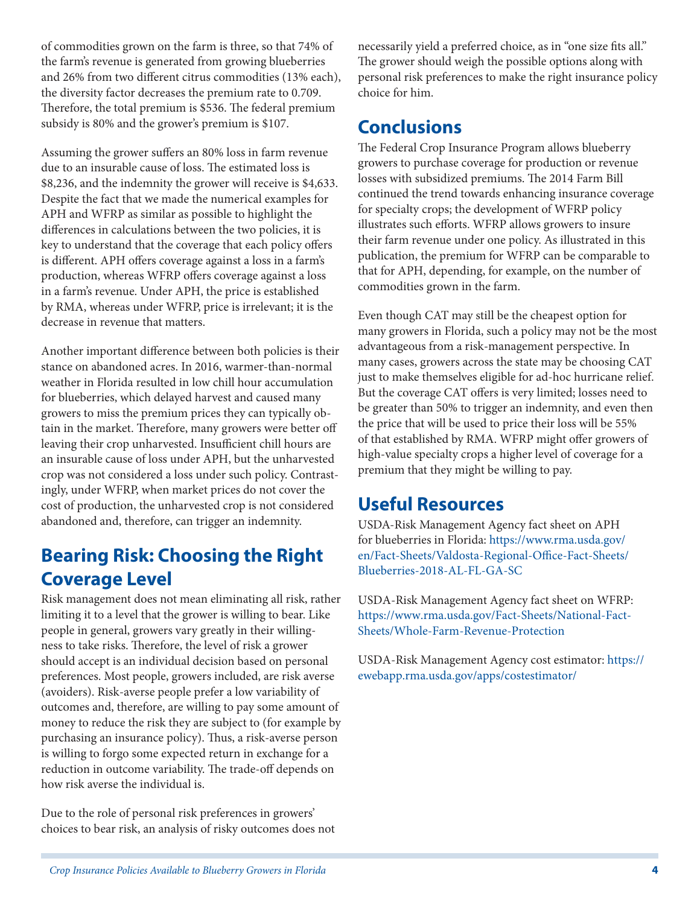of commodities grown on the farm is three, so that 74% of the farm's revenue is generated from growing blueberries and 26% from two different citrus commodities (13% each), the diversity factor decreases the premium rate to 0.709. Therefore, the total premium is \$536. The federal premium subsidy is 80% and the grower's premium is \$107.

Assuming the grower suffers an 80% loss in farm revenue due to an insurable cause of loss. The estimated loss is \$8,236, and the indemnity the grower will receive is \$4,633. Despite the fact that we made the numerical examples for APH and WFRP as similar as possible to highlight the differences in calculations between the two policies, it is key to understand that the coverage that each policy offers is different. APH offers coverage against a loss in a farm's production, whereas WFRP offers coverage against a loss in a farm's revenue. Under APH, the price is established by RMA, whereas under WFRP, price is irrelevant; it is the decrease in revenue that matters.

Another important difference between both policies is their stance on abandoned acres. In 2016, warmer-than-normal weather in Florida resulted in low chill hour accumulation for blueberries, which delayed harvest and caused many growers to miss the premium prices they can typically obtain in the market. Therefore, many growers were better off leaving their crop unharvested. Insufficient chill hours are an insurable cause of loss under APH, but the unharvested crop was not considered a loss under such policy. Contrastingly, under WFRP, when market prices do not cover the cost of production, the unharvested crop is not considered abandoned and, therefore, can trigger an indemnity.

# **Bearing Risk: Choosing the Right Coverage Level**

Risk management does not mean eliminating all risk, rather limiting it to a level that the grower is willing to bear. Like people in general, growers vary greatly in their willingness to take risks. Therefore, the level of risk a grower should accept is an individual decision based on personal preferences. Most people, growers included, are risk averse (avoiders). Risk-averse people prefer a low variability of outcomes and, therefore, are willing to pay some amount of money to reduce the risk they are subject to (for example by purchasing an insurance policy). Thus, a risk-averse person is willing to forgo some expected return in exchange for a reduction in outcome variability. The trade-off depends on how risk averse the individual is.

Due to the role of personal risk preferences in growers' choices to bear risk, an analysis of risky outcomes does not necessarily yield a preferred choice, as in "one size fits all." The grower should weigh the possible options along with personal risk preferences to make the right insurance policy choice for him.

# **Conclusions**

The Federal Crop Insurance Program allows blueberry growers to purchase coverage for production or revenue losses with subsidized premiums. The 2014 Farm Bill continued the trend towards enhancing insurance coverage for specialty crops; the development of WFRP policy illustrates such efforts. WFRP allows growers to insure their farm revenue under one policy. As illustrated in this publication, the premium for WFRP can be comparable to that for APH, depending, for example, on the number of commodities grown in the farm.

Even though CAT may still be the cheapest option for many growers in Florida, such a policy may not be the most advantageous from a risk-management perspective. In many cases, growers across the state may be choosing CAT just to make themselves eligible for ad-hoc hurricane relief. But the coverage CAT offers is very limited; losses need to be greater than 50% to trigger an indemnity, and even then the price that will be used to price their loss will be 55% of that established by RMA. WFRP might offer growers of high-value specialty crops a higher level of coverage for a premium that they might be willing to pay.

### **Useful Resources**

USDA-Risk Management Agency fact sheet on APH for blueberries in Florida: [https://www.rma.usda.gov/](https://www.rma.usda.gov/en/Fact-Sheets/Valdosta-Regional-Office-Fact-Sheets/Blueberries-2018-AL-FL-GA-SC) [en/Fact-Sheets/Valdosta-Regional-Office-Fact-Sheets/](https://www.rma.usda.gov/en/Fact-Sheets/Valdosta-Regional-Office-Fact-Sheets/Blueberries-2018-AL-FL-GA-SC) [Blueberries-2018-AL-FL-GA-SC](https://www.rma.usda.gov/en/Fact-Sheets/Valdosta-Regional-Office-Fact-Sheets/Blueberries-2018-AL-FL-GA-SC)

USDA-Risk Management Agency fact sheet on WFRP: [https://www.rma.usda.gov/Fact-Sheets/National-Fact-](https://www.rma.usda.gov/Fact-Sheets/National-Fact-Sheets/Whole-Farm-Revenue-Protection)Sheets/Whole-Farm-Revenue-Protection

USDA-Risk Management Agency cost estimator: [https://](https://ewebapp.rma.usda.gov/apps/costestimator/) [ewebapp.rma.usda.gov/apps/costestimator/](https://ewebapp.rma.usda.gov/apps/costestimator/)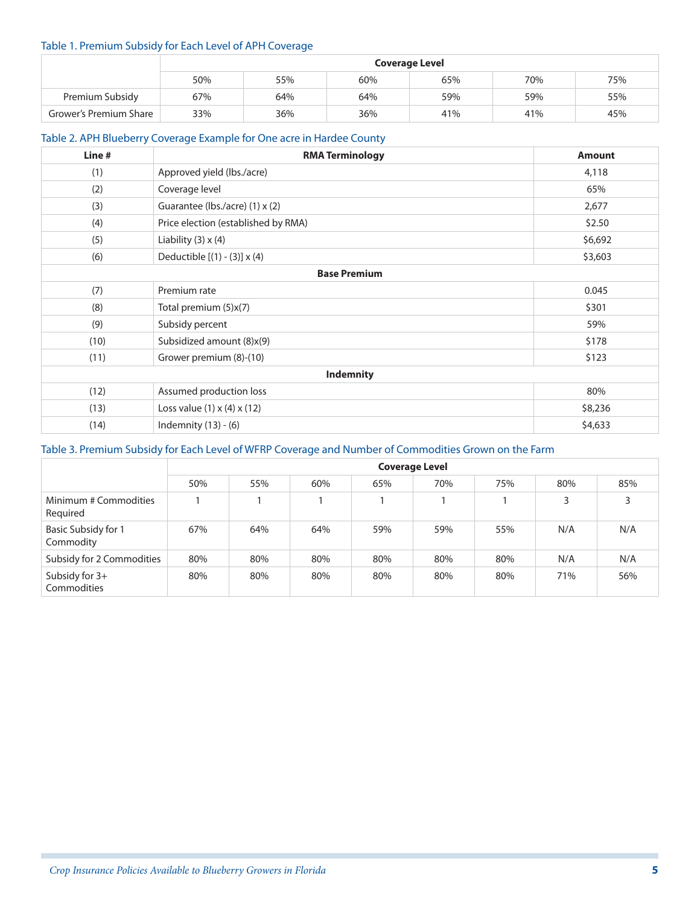#### Table 1. Premium Subsidy for Each Level of APH Coverage

|                        | <b>Coverage Level</b> |     |     |     |     |     |  |
|------------------------|-----------------------|-----|-----|-----|-----|-----|--|
|                        | 50%                   | 55% | 60% | 65% | 70% | 75% |  |
| Premium Subsidy        | 67%                   | 64% | 64% | 59% | 59% | 55% |  |
| Grower's Premium Share | 33%                   | 36% | 36% | 41% | 41% | 45% |  |

#### Table 2. APH Blueberry Coverage Example for One acre in Hardee County

| Line #              | <b>RMA Terminology</b>                  | <b>Amount</b> |  |  |  |  |
|---------------------|-----------------------------------------|---------------|--|--|--|--|
| (1)                 | Approved yield (lbs./acre)              | 4,118         |  |  |  |  |
| (2)                 | Coverage level                          | 65%           |  |  |  |  |
| (3)                 | Guarantee (lbs./acre) (1) x (2)         | 2,677         |  |  |  |  |
| (4)                 | Price election (established by RMA)     | \$2.50        |  |  |  |  |
| (5)                 | Liability $(3) \times (4)$              | \$6,692       |  |  |  |  |
| (6)                 | Deductible [(1) - (3)] x (4)            | \$3,603       |  |  |  |  |
| <b>Base Premium</b> |                                         |               |  |  |  |  |
| (7)                 | Premium rate                            | 0.045         |  |  |  |  |
| (8)                 | Total premium (5)x(7)                   | \$301         |  |  |  |  |
| (9)                 | Subsidy percent                         | 59%           |  |  |  |  |
| (10)                | Subsidized amount (8)x(9)               | \$178         |  |  |  |  |
| (11)                | Grower premium (8)-(10)                 | \$123         |  |  |  |  |
| <b>Indemnity</b>    |                                         |               |  |  |  |  |
| (12)                | Assumed production loss                 | 80%           |  |  |  |  |
| (13)                | Loss value $(1) \times (4) \times (12)$ | \$8,236       |  |  |  |  |
| (14)                | Indemnity $(13) - (6)$                  | \$4,633       |  |  |  |  |

### Table 3. Premium Subsidy for Each Level of WFRP Coverage and Number of Commodities Grown on the Farm

|                                         | <b>Coverage Level</b> |     |     |     |     |     |     |     |
|-----------------------------------------|-----------------------|-----|-----|-----|-----|-----|-----|-----|
|                                         | 50%                   | 55% | 60% | 65% | 70% | 75% | 80% | 85% |
| Minimum # Commodities<br>Required       |                       |     |     |     |     |     | 3   | 3   |
| <b>Basic Subsidy for 1</b><br>Commodity | 67%                   | 64% | 64% | 59% | 59% | 55% | N/A | N/A |
| Subsidy for 2 Commodities               | 80%                   | 80% | 80% | 80% | 80% | 80% | N/A | N/A |
| Subsidy for 3+<br>Commodities           | 80%                   | 80% | 80% | 80% | 80% | 80% | 71% | 56% |